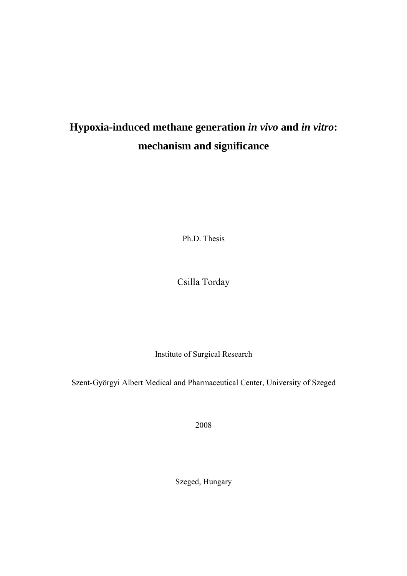# **Hypoxia-induced methane generation** *in vivo* **and** *in vitro***: mechanism and significance**

Ph.D. Thesis

# Csilla Torday

Institute of Surgical Research

Szent-Györgyi Albert Medical and Pharmaceutical Center, University of Szeged

2008

Szeged, Hungary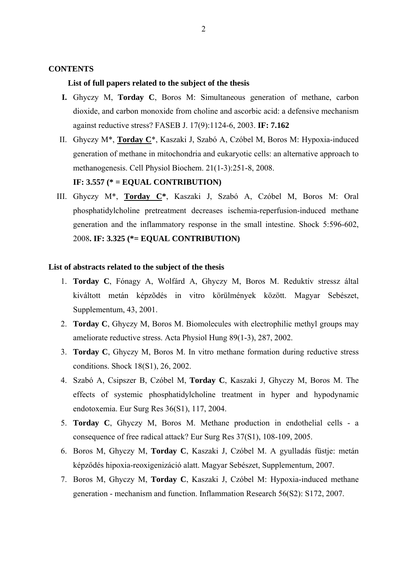#### **CONTENTS**

#### **List of full papers related to the subject of the thesis**

- **I.** Ghyczy M, **Torday C**, Boros M: Simultaneous generation of methane, carbon dioxide, and carbon monoxide from choline and ascorbic acid: a defensive mechanism against reductive stress? FASEB J. 17(9):1124-6, 2003. **IF: 7.162**
- II. Ghyczy M\*, **Torday C**\*, Kaszaki J, Szabó A, Czóbel M, Boros M: Hypoxia-induced generation of methane in mitochondria and eukaryotic cells: an alternative approach to methanogenesis. Cell Physiol Biochem. 21(1-3):251-8, 2008.

# **IF: 3.557 (\* = EQUAL CONTRIBUTION)**

III. Ghyczy M\*, **Torday C\***, Kaszaki J, Szabó A, Czóbel M, Boros M: Oral phosphatidylcholine pretreatment decreases ischemia-reperfusion-induced methane generation and the inflammatory response in the small intestine. Shock 5:596-602, 2008**. IF: 3.325 (\*= EQUAL CONTRIBUTION)**

# **List of abstracts related to the subject of the thesis**

- 1. **Torday C**, Fónagy A, Wolfárd A, Ghyczy M, Boros M. Reduktív stressz által kiváltott metán képzõdés in vitro körülmények között. Magyar Sebészet, Supplementum, 43, 2001.
- 2. **Torday C**, Ghyczy M, Boros M. Biomolecules with electrophilic methyl groups may ameliorate reductive stress. Acta Physiol Hung 89(1-3), 287, 2002.
- 3. **Torday C**, Ghyczy M, Boros M. In vitro methane formation during reductive stress conditions. Shock 18(S1), 26, 2002.
- 4. Szabó A, Csipszer B, Czóbel M, **Torday C**, Kaszaki J, Ghyczy M, Boros M. The effects of systemic phosphatidylcholine treatment in hyper and hypodynamic endotoxemia. Eur Surg Res 36(S1), 117, 2004.
- 5. **Torday C**, Ghyczy M, Boros M. Methane production in endothelial cells a consequence of free radical attack? Eur Surg Res 37(S1), 108-109, 2005.
- 6. Boros M, Ghyczy M, **Torday C**, Kaszaki J, Czóbel M. A gyulladás füstje: metán képződés hipoxia-reoxigenizáció alatt. Magyar Sebészet, Supplementum, 2007.
- 7. Boros M, Ghyczy M, **Torday C**, Kaszaki J, Czóbel M: Hypoxia-induced methane generation - mechanism and function. Inflammation Research 56(S2): S172, 2007.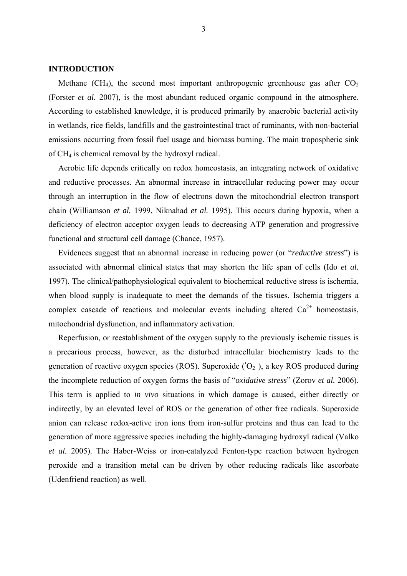#### **INTRODUCTION**

Methane (CH<sub>4</sub>), the second most important anthropogenic greenhouse gas after  $CO<sub>2</sub>$ (Forster *et al.* 2007), is the most abundant reduced organic compound in the atmosphere. According to established knowledge, it is produced primarily by anaerobic bacterial activity in wetlands, rice fields, landfills and the gastrointestinal tract of ruminants, with non-bacterial emissions occurring from fossil fuel usage and biomass burning. The main tropospheric sink of CH4 is chemical removal by the hydroxyl radical.

Aerobic life depends critically on redox homeostasis, an integrating network of oxidative and reductive processes. An abnormal increase in intracellular reducing power may occur through an interruption in the flow of electrons down the mitochondrial electron transport chain (Williamson *et al.* 1999, Niknahad *et al.* 1995). This occurs during hypoxia, when a deficiency of electron acceptor oxygen leads to decreasing ATP generation and progressive functional and structural cell damage (Chance, 1957).

Evidences suggest that an abnormal increase in reducing power (or "*reductive stress*") is associated with abnormal clinical states that may shorten the life span of cells (Ido *et al.* 1997). The clinical/pathophysiological equivalent to biochemical reductive stress is ischemia, when blood supply is inadequate to meet the demands of the tissues. Ischemia triggers a complex cascade of reactions and molecular events including altered  $Ca^{2+}$  homeostasis, mitochondrial dysfunction, and inflammatory activation.

Reperfusion, or reestablishment of the oxygen supply to the previously ischemic tissues is a precarious process, however, as the disturbed intracellular biochemistry leads to the generation of reactive oxygen species (ROS). Superoxide  $(O_2)$ , a key ROS produced during the incomplete reduction of oxygen forms the basis of "*oxidative stress*" (Zorov *et al.* 2006). This term is applied to *in vivo* situations in which damage is caused, either directly or indirectly, by an elevated level of ROS or the generation of other free radicals. Superoxide anion can release redox-active iron ions from iron-sulfur proteins and thus can lead to the generation of more aggressive species including the highly-damaging hydroxyl radical (Valko *et al.* 2005). The Haber-Weiss or iron-catalyzed Fenton-type reaction between hydrogen peroxide and a transition metal can be driven by other reducing radicals like ascorbate (Udenfriend reaction) as well.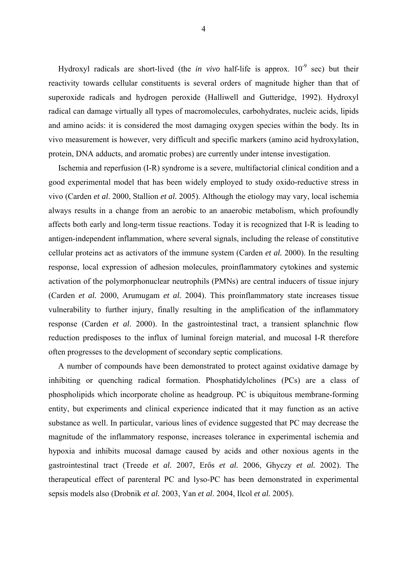Hydroxyl radicals are short-lived (the *in vivo* half-life is approx.  $10^{-9}$  sec) but their reactivity towards cellular constituents is several orders of magnitude higher than that of superoxide radicals and hydrogen peroxide (Halliwell and Gutteridge, 1992). Hydroxyl radical can damage virtually all types of macromolecules, carbohydrates, nucleic acids, lipids and amino acids: it is considered the most damaging oxygen species within the body. Its in vivo measurement is however, very difficult and specific markers (amino acid hydroxylation, protein, DNA adducts, and aromatic probes) are currently under intense investigation.

Ischemia and reperfusion (I-R) syndrome is a severe, multifactorial clinical condition and a good experimental model that has been widely employed to study oxido-reductive stress in vivo (Carden *et al*. 2000, Stallion *et al.* 2005). Although the etiology may vary, local ischemia always results in a change from an aerobic to an anaerobic metabolism, which profoundly affects both early and long-term tissue reactions. Today it is recognized that I-R is leading to antigen-independent inflammation, where several signals, including the release of constitutive cellular proteins act as activators of the immune system (Carden *et al.* 2000). In the resulting response, local expression of adhesion molecules, proinflammatory cytokines and systemic activation of the polymorphonuclear neutrophils (PMNs) are central inducers of tissue injury (Carden *et al.* 2000, Arumugam *et al.* 2004). This proinflammatory state increases tissue vulnerability to further injury, finally resulting in the amplification of the inflammatory response (Carden *et al*. 2000). In the gastrointestinal tract, a transient splanchnic flow reduction predisposes to the influx of luminal foreign material, and mucosal I-R therefore often progresses to the development of secondary septic complications.

A number of compounds have been demonstrated to protect against oxidative damage by inhibiting or quenching radical formation. Phosphatidylcholines (PCs) are a class of phospholipids which incorporate choline as headgroup. PC is ubiquitous membrane-forming entity, but experiments and clinical experience indicated that it may function as an active substance as well. In particular, various lines of evidence suggested that PC may decrease the magnitude of the inflammatory response, increases tolerance in experimental ischemia and hypoxia and inhibits mucosal damage caused by acids and other noxious agents in the gastrointestinal tract (Treede *et al.* 2007, Erős *et al.* 2006, Ghyczy *et al.* 2002). The therapeutical effect of parenteral PC and lyso-PC has been demonstrated in experimental sepsis models also (Drobnik *et al.* 2003, Yan *et al*. 2004, Ilcol *et al.* 2005).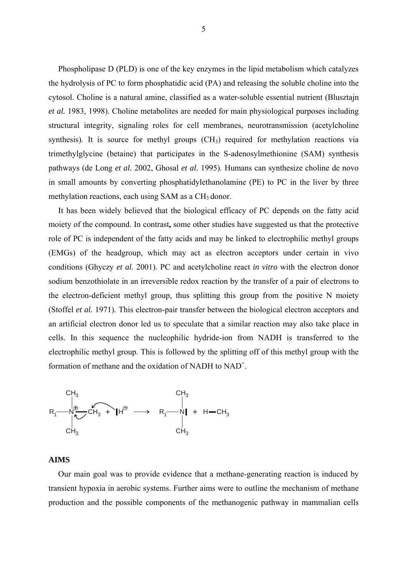Phospholipase D (PLD) is one of the key enzymes in the lipid metabolism which catalyzes the hydrolysis of PC to form phosphatidic acid (PA) and releasing the soluble choline into the cytosol. Choline is a natural amine, classified as a water-soluble essential nutrient (Blusztajn *et al.* 1983, 1998). Choline metabolites are needed for main physiological purposes including structural integrity, signaling roles for cell membranes, neurotransmission (acetylcholine synthesis). It is source for methyl groups  $(CH_3)$  required for methylation reactions via trimethylglycine (betaine) that participates in the S-adenosylmethionine (SAM) synthesis pathways (de Long *et al.* 2002, Ghosal *et al.* 1995). Humans can synthesize choline de novo in small amounts by converting phosphatidylethanolamine (PE) to PC in the liver by three methylation reactions, each using SAM as a CH<sub>3</sub> donor.

It has been widely believed that the biological efficacy of PC depends on the fatty acid moiety of the compound. In contrast**,** some other studies have suggested us that the protective role of PC is independent of the fatty acids and may be linked to electrophilic methyl groups (EMGs) of the headgroup, which may act as electron acceptors under certain in vivo conditions (Ghyczy *et al.* 2001). PC and acetylcholine react *in vitro* with the electron donor sodium benzothiolate in an irreversible redox reaction by the transfer of a pair of electrons to the electron-deficient methyl group, thus splitting this group from the positive N moiety (Stoffel *et al.* 1971). This electron-pair transfer between the biological electron acceptors and an artificial electron donor led us to speculate that a similar reaction may also take place in cells. In this sequence the nucleophilic hydride-ion from NADH is transferred to the electrophilic methyl group. This is followed by the splitting off of this methyl group with the formation of methane and the oxidation of NADH to NAD<sup>+</sup>.



# **AIMS**

Our main goal was to provide evidence that a methane-generating reaction is induced by transient hypoxia in aerobic systems. Further aims were to outline the mechanism of methane production and the possible components of the methanogenic pathway in mammalian cells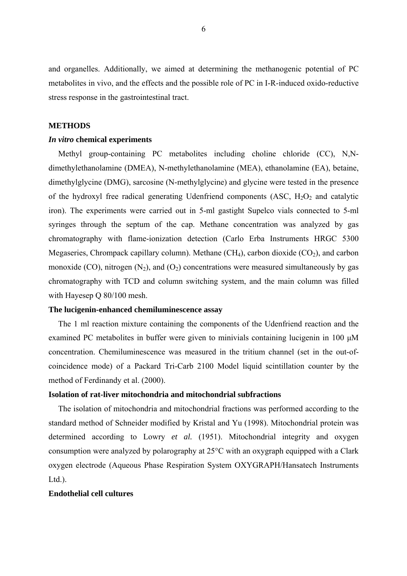and organelles. Additionally, we aimed at determining the methanogenic potential of PC metabolites in vivo, and the effects and the possible role of PC in I-R-induced oxido-reductive stress response in the gastrointestinal tract.

# **METHODS**

#### *In vitro* **chemical experiments**

 Methyl group-containing PC metabolites including choline chloride (CC), N,Ndimethylethanolamine (DMEA), N-methylethanolamine (MEA), ethanolamine (EA), betaine, dimethylglycine (DMG), sarcosine (N-methylglycine) and glycine were tested in the presence of the hydroxyl free radical generating Udenfriend components  $(ASC, H<sub>2</sub>O<sub>2</sub>$  and catalytic iron). The experiments were carried out in 5-ml gastight Supelco vials connected to 5-ml syringes through the septum of the cap. Methane concentration was analyzed by gas chromatography with flame-ionization detection (Carlo Erba Instruments HRGC 5300 Megaseries, Chrompack capillary column). Methane  $(CH_4)$ , carbon dioxide  $(CO_2)$ , and carbon monoxide (CO), nitrogen  $(N_2)$ , and  $(O_2)$  concentrations were measured simultaneously by gas chromatography with TCD and column switching system, and the main column was filled with Hayesep Q 80/100 mesh.

#### **The lucigenin-enhanced chemiluminescence assay**

The 1 ml reaction mixture containing the components of the Udenfriend reaction and the examined PC metabolites in buffer were given to minivials containing lucigenin in 100  $\mu$ M concentration. Chemiluminescence was measured in the tritium channel (set in the out-ofcoincidence mode) of a Packard Tri-Carb 2100 Model liquid scintillation counter by the method of Ferdinandy et al. (2000).

### **Isolation of rat-liver mitochondria and mitochondrial subfractions**

The isolation of mitochondria and mitochondrial fractions was performed according to the standard method of Schneider modified by Kristal and Yu (1998). Mitochondrial protein was determined according to Lowry *et al.* (1951). Mitochondrial integrity and oxygen consumption were analyzed by polarography at 25°C with an oxygraph equipped with a Clark oxygen electrode (Aqueous Phase Respiration System OXYGRAPH/Hansatech Instruments  $Ltd.$ ).

#### **Endothelial cell cultures**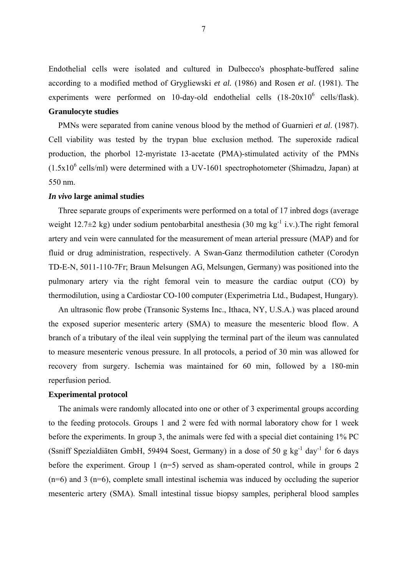Endothelial cells were isolated and cultured in Dulbecco's phosphate-buffered saline according to a modified method of Grygliewski *et al.* (1986) and Rosen *et al*. (1981). The experiments were performed on 10-day-old endothelial cells  $(18-20x10^6 \text{ cells/flask})$ . **Granulocyte studies** 

PMNs were separated from canine venous blood by the method of Guarnieri *et al*. (1987). Cell viability was tested by the trypan blue exclusion method. The superoxide radical production, the phorbol 12-myristate 13-acetate (PMA)-stimulated activity of the PMNs  $(1.5x10<sup>6</sup>$  cells/ml) were determined with a UV-1601 spectrophotometer (Shimadzu, Japan) at 550 nm.

#### *In vivo* **large animal studies**

Three separate groups of experiments were performed on a total of 17 inbred dogs (average weight  $12.7\pm 2$  kg) under sodium pentobarbital anesthesia (30 mg kg<sup>-1</sup> i.v.). The right femoral artery and vein were cannulated for the measurement of mean arterial pressure (MAP) and for fluid or drug administration, respectively. A Swan-Ganz thermodilution catheter (Corodyn TD-E-N, 5011-110-7Fr; Braun Melsungen AG, Melsungen, Germany) was positioned into the pulmonary artery via the right femoral vein to measure the cardiac output (CO) by thermodilution, using a Cardiostar CO-100 computer (Experimetria Ltd., Budapest, Hungary).

An ultrasonic flow probe (Transonic Systems Inc., Ithaca, NY, U.S.A.) was placed around the exposed superior mesenteric artery (SMA) to measure the mesenteric blood flow. A branch of a tributary of the ileal vein supplying the terminal part of the ileum was cannulated to measure mesenteric venous pressure. In all protocols, a period of 30 min was allowed for recovery from surgery. Ischemia was maintained for 60 min, followed by a 180-min reperfusion period.

#### **Experimental protocol**

The animals were randomly allocated into one or other of 3 experimental groups according to the feeding protocols. Groups 1 and 2 were fed with normal laboratory chow for 1 week before the experiments. In group 3, the animals were fed with a special diet containing 1% PC (Ssniff Spezialdiäten GmbH, 59494 Soest, Germany) in a dose of 50 g  $kg^{-1}$  day<sup>-1</sup> for 6 days before the experiment. Group 1 (n=5) served as sham-operated control, while in groups 2  $(n=6)$  and 3  $(n=6)$ , complete small intestinal ischemia was induced by occluding the superior mesenteric artery (SMA). Small intestinal tissue biopsy samples, peripheral blood samples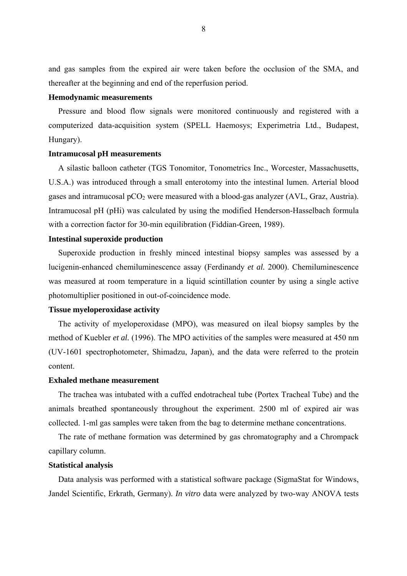and gas samples from the expired air were taken before the occlusion of the SMA, and thereafter at the beginning and end of the reperfusion period.

### **Hemodynamic measurements**

Pressure and blood flow signals were monitored continuously and registered with a computerized data-acquisition system (SPELL Haemosys; Experimetria Ltd., Budapest, Hungary).

# **Intramucosal pH measurements**

A silastic balloon catheter (TGS Tonomitor, Tonometrics Inc., Worcester, Massachusetts, U.S.A.) was introduced through a small enterotomy into the intestinal lumen. Arterial blood gases and intramucosal  $pCO<sub>2</sub>$  were measured with a blood-gas analyzer (AVL, Graz, Austria). Intramucosal pH (pHi) was calculated by using the modified Henderson-Hasselbach formula with a correction factor for 30-min equilibration (Fiddian-Green, 1989).

# **Intestinal superoxide production**

Superoxide production in freshly minced intestinal biopsy samples was assessed by a lucigenin-enhanced chemiluminescence assay (Ferdinandy *et al.* 2000). Chemiluminescence was measured at room temperature in a liquid scintillation counter by using a single active photomultiplier positioned in out-of-coincidence mode.

#### **Tissue myeloperoxidase activity**

The activity of myeloperoxidase (MPO), was measured on ileal biopsy samples by the method of Kuebler *et al.* (1996). The MPO activities of the samples were measured at 450 nm (UV-1601 spectrophotometer, Shimadzu, Japan), and the data were referred to the protein content.

#### **Exhaled methane measurement**

The trachea was intubated with a cuffed endotracheal tube (Portex Tracheal Tube) and the animals breathed spontaneously throughout the experiment. 2500 ml of expired air was collected. 1-ml gas samples were taken from the bag to determine methane concentrations.

The rate of methane formation was determined by gas chromatography and a Chrompack capillary column.

# **Statistical analysis**

Data analysis was performed with a statistical software package (SigmaStat for Windows, Jandel Scientific, Erkrath, Germany). *In vitro* data were analyzed by two-way ANOVA tests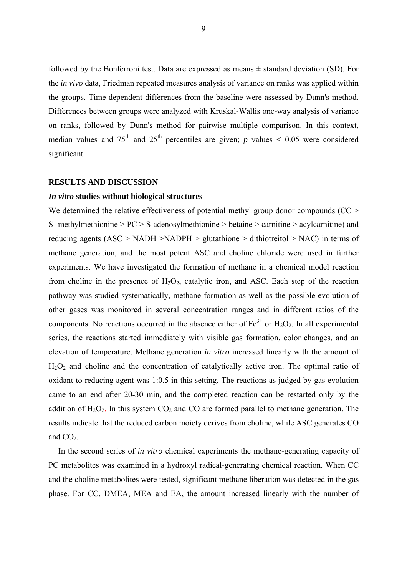followed by the Bonferroni test. Data are expressed as means  $\pm$  standard deviation (SD). For the *in vivo* data, Friedman repeated measures analysis of variance on ranks was applied within the groups. Time-dependent differences from the baseline were assessed by Dunn's method. Differences between groups were analyzed with Kruskal-Wallis one-way analysis of variance on ranks, followed by Dunn's method for pairwise multiple comparison. In this context, median values and 75<sup>th</sup> and 25<sup>th</sup> percentiles are given; *p* values  $\leq 0.05$  were considered significant.

#### **RESULTS AND DISCUSSION**

#### *In vitro* **studies without biological structures**

We determined the relative effectiveness of potential methyl group donor compounds (CC > S- methylmethionine  $> PC > S$ -adenosylmethionine  $>$  betaine  $>$  carnitine  $>$  acylcarnitine) and reducing agents (ASC > NADH >NADPH > glutathione > dithiotreitol > NAC) in terms of methane generation, and the most potent ASC and choline chloride were used in further experiments. We have investigated the formation of methane in a chemical model reaction from choline in the presence of  $H_2O_2$ , catalytic iron, and ASC. Each step of the reaction pathway was studied systematically, methane formation as well as the possible evolution of other gases was monitored in several concentration ranges and in different ratios of the components. No reactions occurred in the absence either of  $Fe<sup>3+</sup>$  or  $H<sub>2</sub>O<sub>2</sub>$ . In all experimental series, the reactions started immediately with visible gas formation, color changes, and an elevation of temperature. Methane generation *in vitro* increased linearly with the amount of  $H<sub>2</sub>O<sub>2</sub>$  and choline and the concentration of catalytically active iron. The optimal ratio of oxidant to reducing agent was 1:0.5 in this setting. The reactions as judged by gas evolution came to an end after 20-30 min, and the completed reaction can be restarted only by the addition of  $H_2O_2$ . In this system  $CO_2$  and  $CO$  are formed parallel to methane generation. The results indicate that the reduced carbon moiety derives from choline, while ASC generates CO and  $CO<sub>2</sub>$ .

In the second series of *in vitro* chemical experiments the methane-generating capacity of PC metabolites was examined in a hydroxyl radical-generating chemical reaction. When CC and the choline metabolites were tested, significant methane liberation was detected in the gas phase. For CC, DMEA, MEA and EA, the amount increased linearly with the number of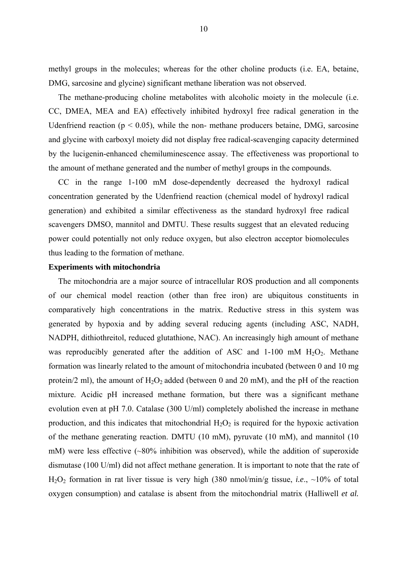methyl groups in the molecules; whereas for the other choline products (i.e. EA, betaine, DMG, sarcosine and glycine) significant methane liberation was not observed.

The methane-producing choline metabolites with alcoholic moiety in the molecule (i.e. CC, DMEA, MEA and EA) effectively inhibited hydroxyl free radical generation in the Udenfriend reaction ( $p < 0.05$ ), while the non- methane producers betaine, DMG, sarcosine and glycine with carboxyl moiety did not display free radical-scavenging capacity determined by the lucigenin-enhanced chemiluminescence assay. The effectiveness was proportional to the amount of methane generated and the number of methyl groups in the compounds.

CC in the range 1-100 mM dose-dependently decreased the hydroxyl radical concentration generated by the Udenfriend reaction (chemical model of hydroxyl radical generation) and exhibited a similar effectiveness as the standard hydroxyl free radical scavengers DMSO, mannitol and DMTU. These results suggest that an elevated reducing power could potentially not only reduce oxygen, but also electron acceptor biomolecules thus leading to the formation of methane.

#### **Experiments with mitochondria**

The mitochondria are a major source of intracellular ROS production and all components of our chemical model reaction (other than free iron) are ubiquitous constituents in comparatively high concentrations in the matrix. Reductive stress in this system was generated by hypoxia and by adding several reducing agents (including ASC, NADH, NADPH, dithiothreitol, reduced glutathione, NAC). An increasingly high amount of methane was reproducibly generated after the addition of ASC and  $1-100$  mM  $H_2O_2$ . Methane formation was linearly related to the amount of mitochondria incubated (between 0 and 10 mg protein/2 ml), the amount of  $H_2O_2$  added (between 0 and 20 mM), and the pH of the reaction mixture. Acidic pH increased methane formation, but there was a significant methane evolution even at pH 7.0. Catalase (300 U/ml) completely abolished the increase in methane production, and this indicates that mitochondrial  $H_2O_2$  is required for the hypoxic activation of the methane generating reaction. DMTU (10 mM), pyruvate (10 mM), and mannitol (10 mM) were less effective (~80% inhibition was observed), while the addition of superoxide dismutase (100 U/ml) did not affect methane generation. It is important to note that the rate of H2O2 formation in rat liver tissue is very high (380 nmol/min/g tissue, *i.e*., ~10% of total oxygen consumption) and catalase is absent from the mitochondrial matrix (Halliwell *et al.*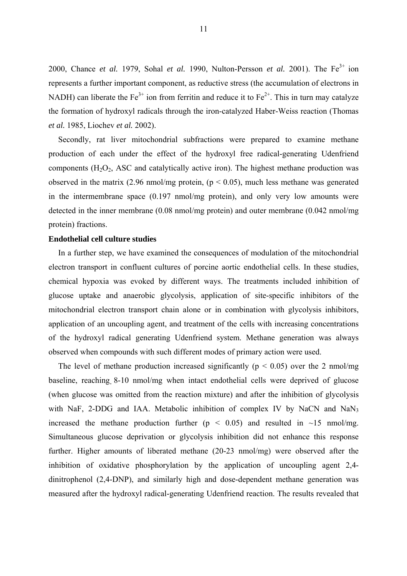2000, Chance *et al.* 1979, Sohal *et al.* 1990, Nulton-Persson *et al.* 2001). The Fe<sup>3+</sup> ion represents a further important component, as reductive stress (the accumulation of electrons in NADH) can liberate the  $Fe^{3+}$  ion from ferritin and reduce it to  $Fe^{2+}$ . This in turn may catalyze the formation of hydroxyl radicals through the iron-catalyzed Haber-Weiss reaction (Thomas *et al.* 1985, Liochev *et al.* 2002).

Secondly, rat liver mitochondrial subfractions were prepared to examine methane production of each under the effect of the hydroxyl free radical-generating Udenfriend components  $(H_2O_2, ASC$  and catalytically active iron). The highest methane production was observed in the matrix  $(2.96 \text{ nmol/mg protein}, (p < 0.05)$ , much less methane was generated in the intermembrane space (0.197 nmol/mg protein), and only very low amounts were detected in the inner membrane (0.08 nmol/mg protein) and outer membrane (0.042 nmol/mg protein) fractions.

# **Endothelial cell culture studies**

In a further step, we have examined the consequences of modulation of the mitochondrial electron transport in confluent cultures of porcine aortic endothelial cells. In these studies, chemical hypoxia was evoked by different ways. The treatments included inhibition of glucose uptake and anaerobic glycolysis, application of site-specific inhibitors of the mitochondrial electron transport chain alone or in combination with glycolysis inhibitors, application of an uncoupling agent, and treatment of the cells with increasing concentrations of the hydroxyl radical generating Udenfriend system. Methane generation was always observed when compounds with such different modes of primary action were used.

The level of methane production increased significantly ( $p < 0.05$ ) over the 2 nmol/mg baseline, reaching 8-10 nmol/mg when intact endothelial cells were deprived of glucose (when glucose was omitted from the reaction mixture) and after the inhibition of glycolysis with NaF, 2-DDG and IAA. Metabolic inhibition of complex IV by NaCN and NaN<sub>3</sub> increased the methane production further ( $p \le 0.05$ ) and resulted in ~15 nmol/mg. Simultaneous glucose deprivation or glycolysis inhibition did not enhance this response further. Higher amounts of liberated methane (20-23 nmol/mg) were observed after the inhibition of oxidative phosphorylation by the application of uncoupling agent 2,4 dinitrophenol (2,4-DNP), and similarly high and dose-dependent methane generation was measured after the hydroxyl radical-generating Udenfriend reaction. The results revealed that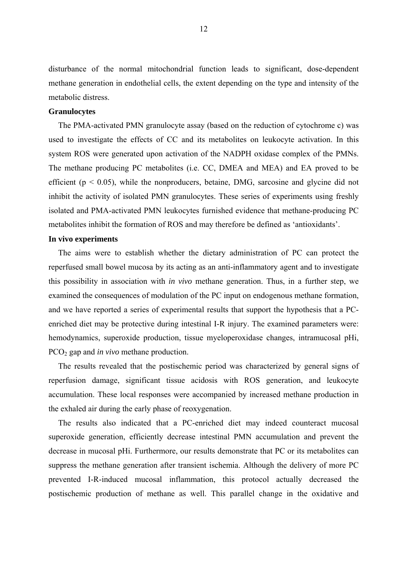disturbance of the normal mitochondrial function leads to significant, dose-dependent methane generation in endothelial cells, the extent depending on the type and intensity of the metabolic distress.

# **Granulocytes**

The PMA-activated PMN granulocyte assay (based on the reduction of cytochrome c) was used to investigate the effects of CC and its metabolites on leukocyte activation. In this system ROS were generated upon activation of the NADPH oxidase complex of the PMNs. The methane producing PC metabolites (i.e. CC, DMEA and MEA) and EA proved to be efficient ( $p < 0.05$ ), while the nonproducers, betaine, DMG, sarcosine and glycine did not inhibit the activity of isolated PMN granulocytes. These series of experiments using freshly isolated and PMA-activated PMN leukocytes furnished evidence that methane-producing PC metabolites inhibit the formation of ROS and may therefore be defined as 'antioxidants'.

# **In vivo experiments**

The aims were to establish whether the dietary administration of PC can protect the reperfused small bowel mucosa by its acting as an anti-inflammatory agent and to investigate this possibility in association with *in vivo* methane generation. Thus, in a further step, we examined the consequences of modulation of the PC input on endogenous methane formation, and we have reported a series of experimental results that support the hypothesis that a PCenriched diet may be protective during intestinal I-R injury. The examined parameters were: hemodynamics, superoxide production, tissue myeloperoxidase changes, intramucosal pHi, PCO2 gap and *in vivo* methane production.

The results revealed that the postischemic period was characterized by general signs of reperfusion damage, significant tissue acidosis with ROS generation, and leukocyte accumulation. These local responses were accompanied by increased methane production in the exhaled air during the early phase of reoxygenation.

The results also indicated that a PC-enriched diet may indeed counteract mucosal superoxide generation, efficiently decrease intestinal PMN accumulation and prevent the decrease in mucosal pHi. Furthermore, our results demonstrate that PC or its metabolites can suppress the methane generation after transient ischemia. Although the delivery of more PC prevented I-R-induced mucosal inflammation, this protocol actually decreased the postischemic production of methane as well. This parallel change in the oxidative and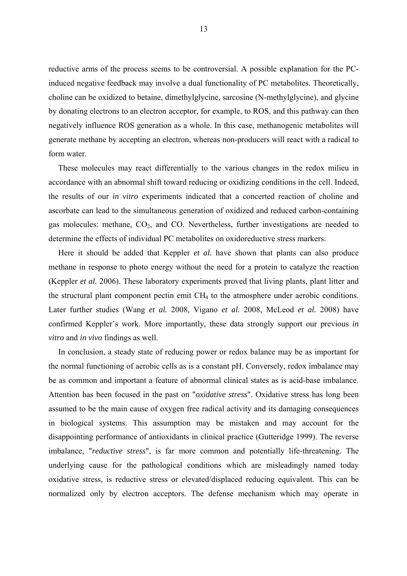reductive arms of the process seems to be controversial. A possible explanation for the PCinduced negative feedback may involve a dual functionality of PC metabolites. Theoretically, choline can be oxidized to betaine, dimethylglycine, sarcosine (N-methylglycine), and glycine by donating electrons to an electron acceptor, for example, to ROS, and this pathway can then negatively influence ROS generation as a whole. In this case, methanogenic metabolites will generate methane by accepting an electron, whereas non-producers will react with a radical to form water.

These molecules may react differentially to the various changes in the redox milieu in accordance with an abnormal shift toward reducing or oxidizing conditions in the cell. Indeed, the results of our *in vitro* experiments indicated that a concerted reaction of choline and ascorbate can lead to the simultaneous generation of oxidized and reduced carbon-containing gas molecules: methane,  $CO<sub>2</sub>$ , and  $CO<sub>2</sub>$ . Nevertheless, further investigations are needed to determine the effects of individual PC metabolites on oxidoreductive stress markers.

Here it should be added that Keppler *et al.* have shown that plants can also produce methane in response to photo energy without the need for a protein to catalyze the reaction (Keppler *et al.* 2006). These laboratory experiments proved that living plants, plant litter and the structural plant component pectin emit CH4 to the atmosphere under aerobic conditions. Later further studies (Wang *et al.* 2008, Vigano *et al.* 2008, McLeod *et al.* 2008) have confirmed Keppler's work. More importantly, these data strongly support our previous *in vitro* and *in vivo* findings as well.

In conclusion, a steady state of reducing power or redox balance may be as important for the normal functioning of aerobic cells as is a constant pH. Conversely, redox imbalance may be as common and important a feature of abnormal clinical states as is acid-base imbalance. Attention has been focused in the past on "*oxidative stress*". Oxidative stress has long been assumed to be the main cause of oxygen free radical activity and its damaging consequences in biological systems. This assumption may be mistaken and may account for the disappointing performance of antioxidants in clinical practice (Gutteridge 1999). The reverse imbalance, "*reductive stress*", is far more common and potentially life-threatening. The underlying cause for the pathological conditions which are misleadingly named today oxidative stress, is reductive stress or elevated/displaced reducing equivalent. This can be normalized only by electron acceptors. The defense mechanism which may operate in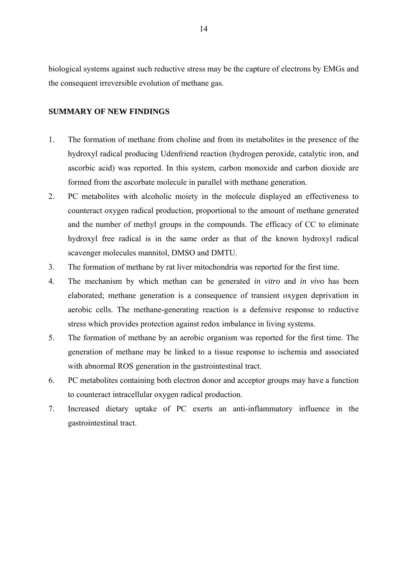biological systems against such reductive stress may be the capture of electrons by EMGs and the consequent irreversible evolution of methane gas.

# **SUMMARY OF NEW FINDINGS**

- 1. The formation of methane from choline and from its metabolites in the presence of the hydroxyl radical producing Udenfriend reaction (hydrogen peroxide, catalytic iron, and ascorbic acid) was reported. In this system, carbon monoxide and carbon dioxide are formed from the ascorbate molecule in parallel with methane generation.
- 2. PC metabolites with alcoholic moiety in the molecule displayed an effectiveness to counteract oxygen radical production, proportional to the amount of methane generated and the number of methyl groups in the compounds. The efficacy of CC to eliminate hydroxyl free radical is in the same order as that of the known hydroxyl radical scavenger molecules mannitol, DMSO and DMTU.
- 3. The formation of methane by rat liver mitochondria was reported for the first time.
- 4. The mechanism by which methan can be generated *in vitro* and *in vivo* has been elaborated; methane generation is a consequence of transient oxygen deprivation in aerobic cells. The methane-generating reaction is a defensive response to reductive stress which provides protection against redox imbalance in living systems.
- 5. The formation of methane by an aerobic organism was reported for the first time. The generation of methane may be linked to a tissue response to ischemia and associated with abnormal ROS generation in the gastrointestinal tract.
- 6. PC metabolites containing both electron donor and acceptor groups may have a function to counteract intracellular oxygen radical production.
- 7. Increased dietary uptake of PC exerts an anti-inflammatory influence in the gastrointestinal tract.